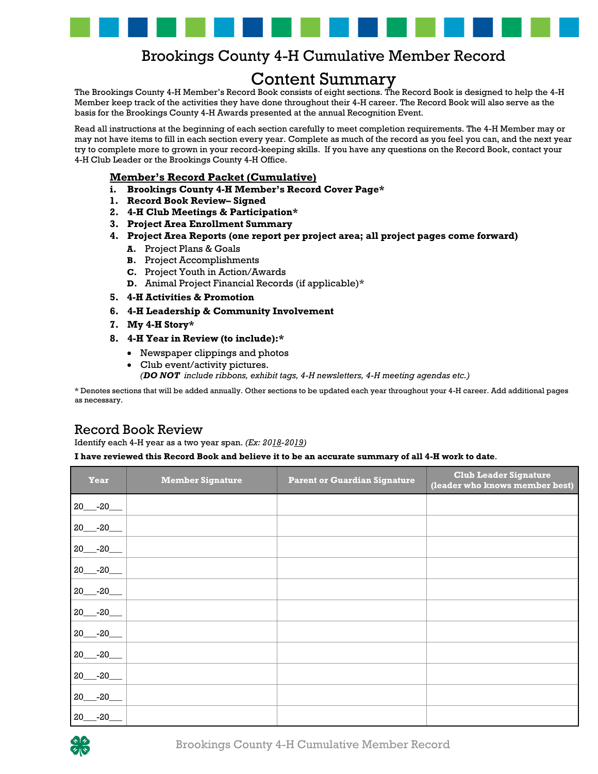

## Brookings County 4-H Cumulative Member Record

## Content Summary

The Brookings County 4-H Member's Record Book consists of eight sections. The Record Book is designed to help the 4-H Member keep track of the activities they have done throughout their 4-H career. The Record Book will also serve as the basis for the Brookings County 4-H Awards presented at the annual Recognition Event.

Read all instructions at the beginning of each section carefully to meet completion requirements. The 4-H Member may or may not have items to fill in each section every year. Complete as much of the record as you feel you can, and the next year try to complete more to grown in your record-keeping skills. If you have any questions on the Record Book, contact your 4-H Club Leader or the Brookings County 4-H Office.

## **Member's Record Packet (Cumulative)**

- **i. Brookings County 4-H Member's Record Cover Page\***
- **1. Record Book Review– Signed**
- **2. 4-H Club Meetings & Participation\***
- **3. Project Area Enrollment Summary**
- **4. Project Area Reports (one report per project area; all project pages come forward)**
	- **A.** Project Plans & Goals
	- **B.** Project Accomplishments
	- **C.** Project Youth in Action/Awards
	- **D.** Animal Project Financial Records (if applicable)\*
- **5. 4-H Activities & Promotion**
- **6. 4-H Leadership & Community Involvement**
- **7. My 4-H Story\***
- **8. 4-H Year in Review (to include):\***
	- Newspaper clippings and photos
	- Club event/activity pictures.

*(DO NOT include ribbons, exhibit tags, 4-H newsletters, 4-H meeting agendas etc.)*

\* Denotes sections that will be added annually. Other sections to be updated each year throughout your 4-H career. Add additional pages as necessary.

## Record Book Review

Identify each 4-H year as a two year span. *(Ex: 2018-2019)* 

**I have reviewed this Record Book and believe it to be an accurate summary of all 4-H work to date**.

| <b>Year</b> | <b>Member Signature</b> | <b>Parent or Guardian Signature</b> | <b>Club Leader Signature</b><br>(leader who knows member best) |
|-------------|-------------------------|-------------------------------------|----------------------------------------------------------------|
| $20 - 20$   |                         |                                     |                                                                |
| $20 - 20$   |                         |                                     |                                                                |
| $20 - -20$  |                         |                                     |                                                                |
| $20 - 20$   |                         |                                     |                                                                |
| $20 - 20$   |                         |                                     |                                                                |
| $20 - 20$   |                         |                                     |                                                                |
| $20 - 20$   |                         |                                     |                                                                |
| $20 - 20$   |                         |                                     |                                                                |
| $20 - 20$   |                         |                                     |                                                                |
| $20 - 20$   |                         |                                     |                                                                |
| $20 - 20$   |                         |                                     |                                                                |